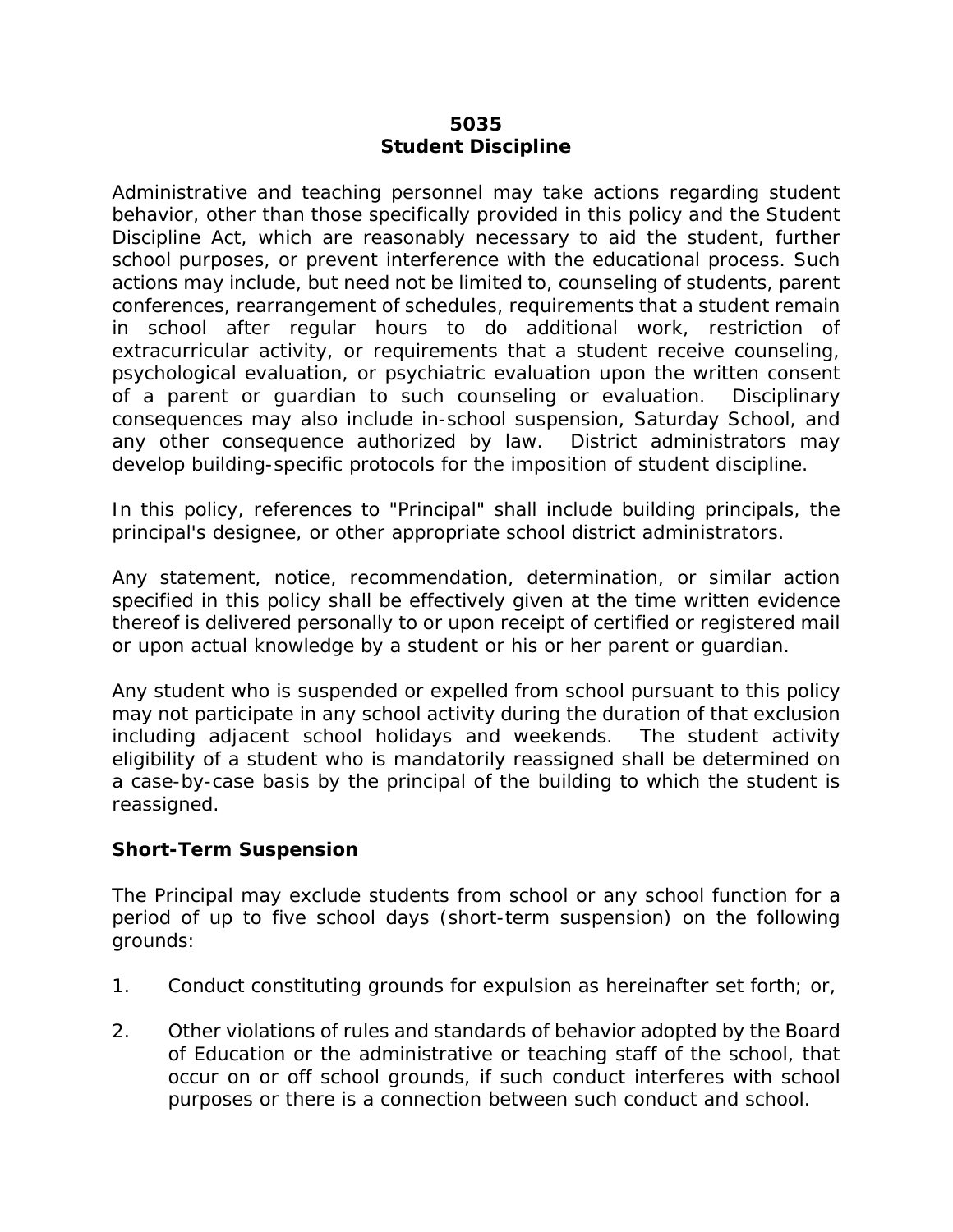### **5035 Student Discipline**

Administrative and teaching personnel may take actions regarding student behavior, other than those specifically provided in this policy and the Student Discipline Act, which are reasonably necessary to aid the student, further school purposes, or prevent interference with the educational process. Such actions may include, but need not be limited to, counseling of students, parent conferences, rearrangement of schedules, requirements that a student remain in school after regular hours to do additional work, restriction of extracurricular activity, or requirements that a student receive counseling, psychological evaluation, or psychiatric evaluation upon the written consent of a parent or guardian to such counseling or evaluation. Disciplinary consequences may also include in-school suspension, Saturday School, and any other consequence authorized by law. District administrators may develop building-specific protocols for the imposition of student discipline.

In this policy, references to "Principal" shall include building principals, the principal's designee, or other appropriate school district administrators.

Any statement, notice, recommendation, determination, or similar action specified in this policy shall be effectively given at the time written evidence thereof is delivered personally to or upon receipt of certified or registered mail or upon actual knowledge by a student or his or her parent or guardian.

Any student who is suspended or expelled from school pursuant to this policy may not participate in any school activity during the duration of that exclusion including adjacent school holidays and weekends. The student activity eligibility of a student who is mandatorily reassigned shall be determined on a case-by-case basis by the principal of the building to which the student is reassigned.

## **Short-Term Suspension**

The Principal may exclude students from school or any school function for a period of up to five school days (short-term suspension) on the following grounds:

- 1. Conduct constituting grounds for expulsion as hereinafter set forth; or,
- 2. Other violations of rules and standards of behavior adopted by the Board of Education or the administrative or teaching staff of the school, that occur on or off school grounds, if such conduct interferes with school purposes or there is a connection between such conduct and school.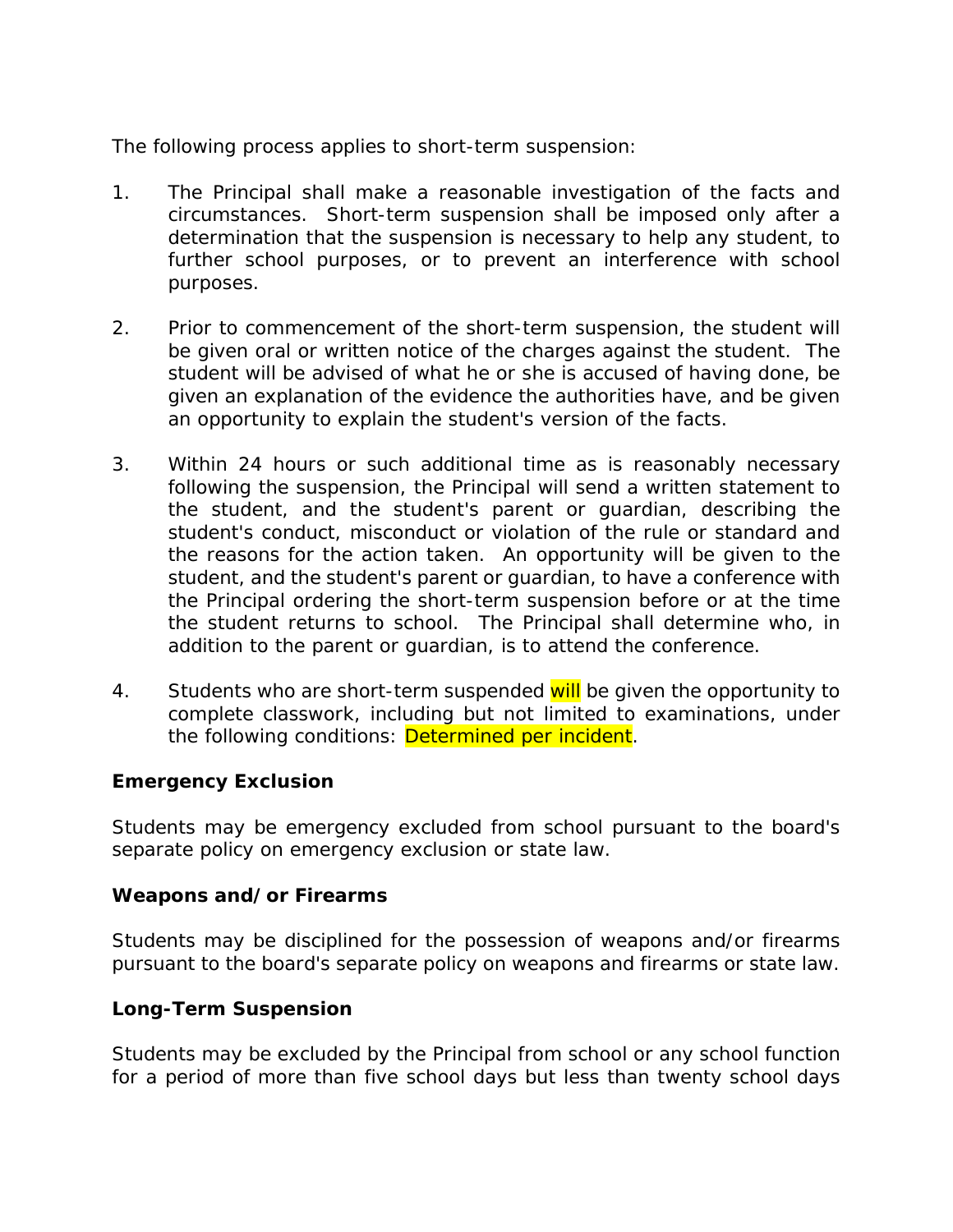The following process applies to short-term suspension:

- 1. The Principal shall make a reasonable investigation of the facts and circumstances. Short-term suspension shall be imposed only after a determination that the suspension is necessary to help any student, to further school purposes, or to prevent an interference with school purposes.
- 2. Prior to commencement of the short-term suspension, the student will be given oral or written notice of the charges against the student. The student will be advised of what he or she is accused of having done, be given an explanation of the evidence the authorities have, and be given an opportunity to explain the student's version of the facts.
- 3. Within 24 hours or such additional time as is reasonably necessary following the suspension, the Principal will send a written statement to the student, and the student's parent or guardian, describing the student's conduct, misconduct or violation of the rule or standard and the reasons for the action taken. An opportunity will be given to the student, and the student's parent or guardian, to have a conference with the Principal ordering the short-term suspension before or at the time the student returns to school. The Principal shall determine who, in addition to the parent or guardian, is to attend the conference.
- 4. Students who are short-term suspended will be given the opportunity to complete classwork, including but not limited to examinations, under the following conditions: Determined per incident.

## **Emergency Exclusion**

Students may be emergency excluded from school pursuant to the board's separate policy on emergency exclusion or state law.

#### **Weapons and/or Firearms**

Students may be disciplined for the possession of weapons and/or firearms pursuant to the board's separate policy on weapons and firearms or state law.

#### **Long-Term Suspension**

Students may be excluded by the Principal from school or any school function for a period of more than five school days but less than twenty school days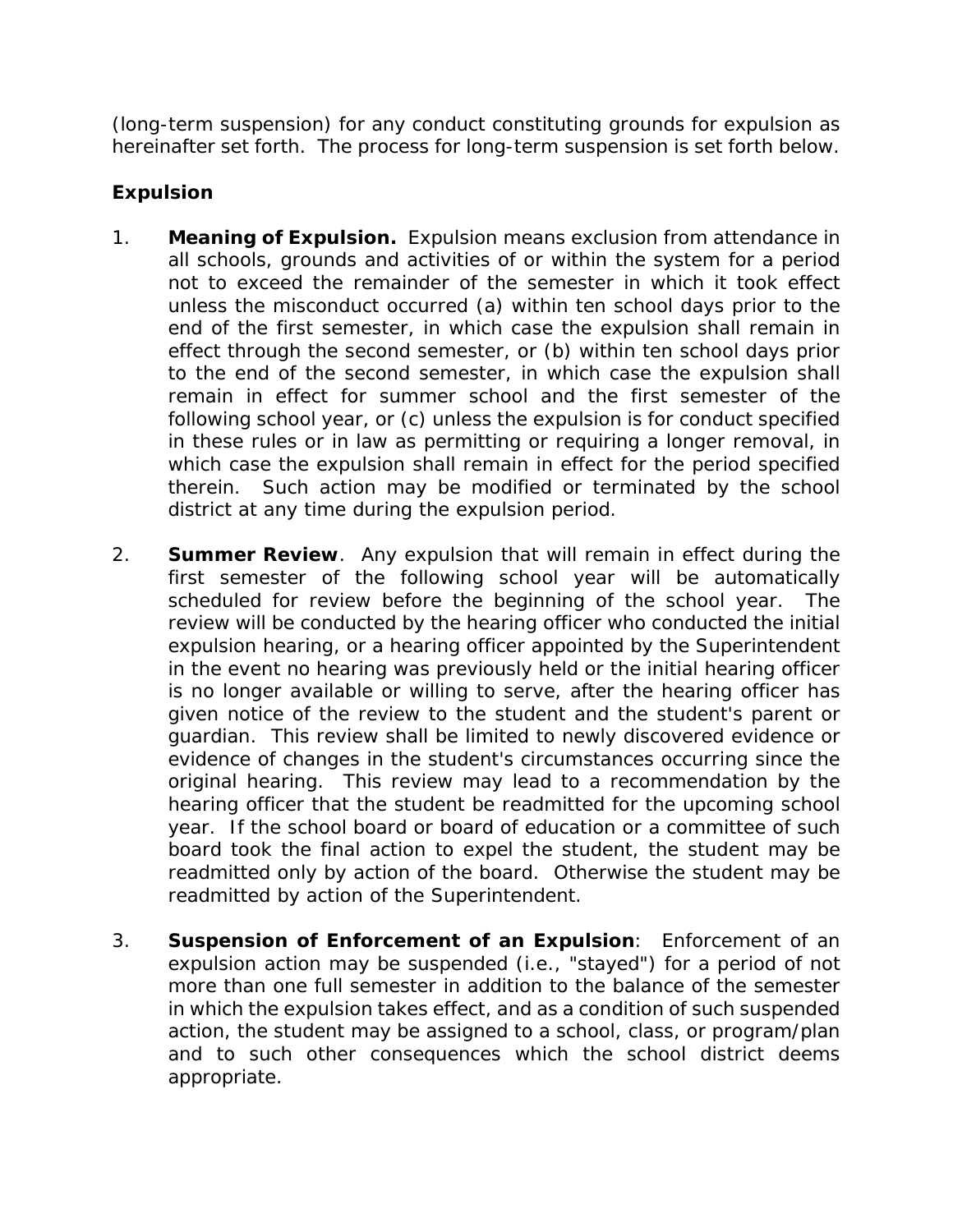(long-term suspension) for any conduct constituting grounds for expulsion as hereinafter set forth. The process for long-term suspension is set forth below.

# **Expulsion**

- 1. **Meaning of Expulsion.** Expulsion means exclusion from attendance in all schools, grounds and activities of or within the system for a period not to exceed the remainder of the semester in which it took effect unless the misconduct occurred (a) within ten school days prior to the end of the first semester, in which case the expulsion shall remain in effect through the second semester, or (b) within ten school days prior to the end of the second semester, in which case the expulsion shall remain in effect for summer school and the first semester of the following school year, or (c) unless the expulsion is for conduct specified in these rules or in law as permitting or requiring a longer removal, in which case the expulsion shall remain in effect for the period specified therein. Such action may be modified or terminated by the school district at any time during the expulsion period.
- 2. **Summer Review**. Any expulsion that will remain in effect during the first semester of the following school year will be automatically scheduled for review before the beginning of the school year. The review will be conducted by the hearing officer who conducted the initial expulsion hearing, or a hearing officer appointed by the Superintendent in the event no hearing was previously held or the initial hearing officer is no longer available or willing to serve, after the hearing officer has given notice of the review to the student and the student's parent or guardian. This review shall be limited to newly discovered evidence or evidence of changes in the student's circumstances occurring since the original hearing. This review may lead to a recommendation by the hearing officer that the student be readmitted for the upcoming school year. If the school board or board of education or a committee of such board took the final action to expel the student, the student may be readmitted only by action of the board. Otherwise the student may be readmitted by action of the Superintendent.
- 3. **Suspension of Enforcement of an Expulsion**: Enforcement of an expulsion action may be suspended (i.e., "stayed") for a period of not more than one full semester in addition to the balance of the semester in which the expulsion takes effect, and as a condition of such suspended action, the student may be assigned to a school, class, or program/plan and to such other consequences which the school district deems appropriate.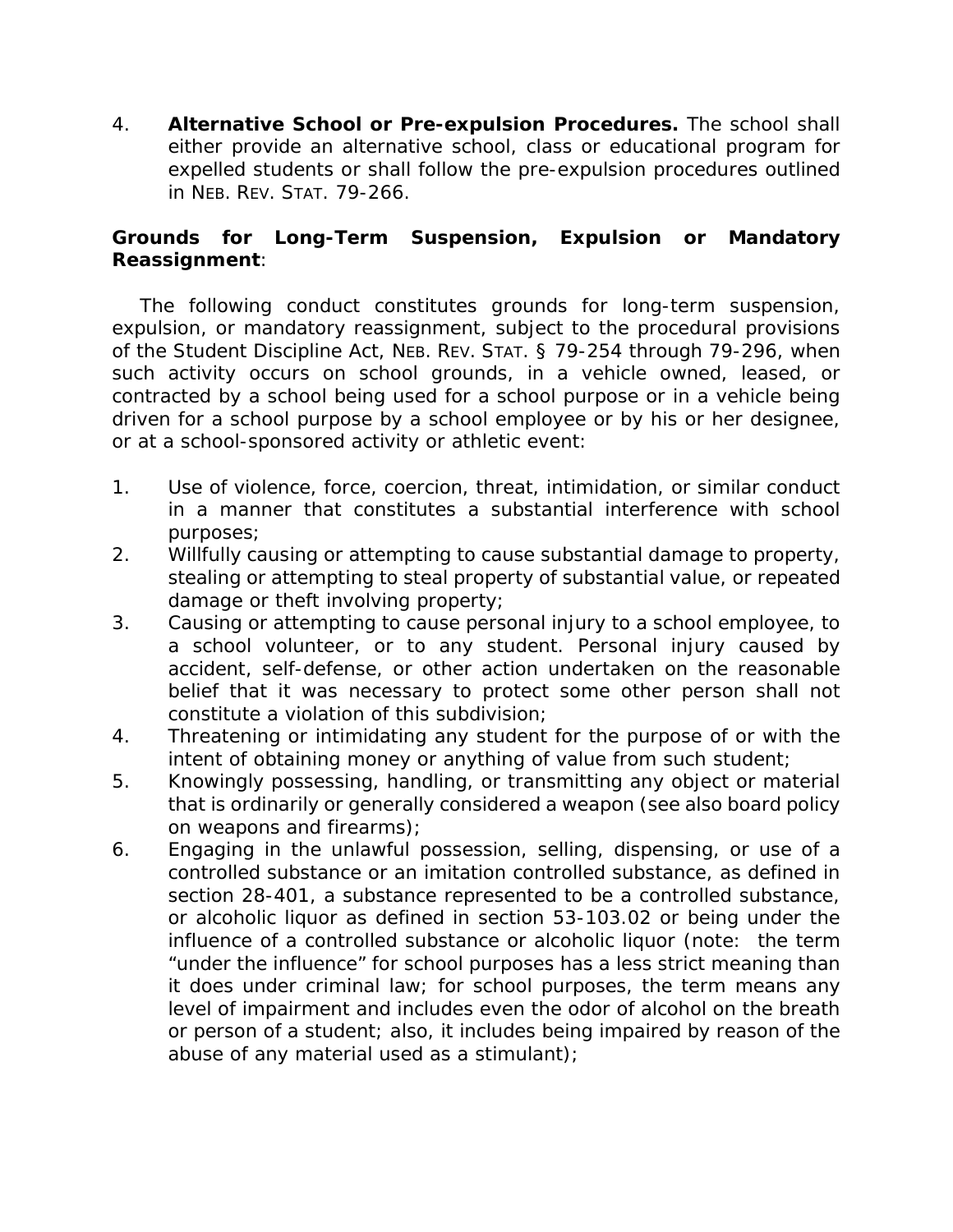4. **Alternative School or Pre-expulsion Procedures.** The school shall either provide an alternative school, class or educational program for expelled students or shall follow the pre-expulsion procedures outlined in NEB. REV. STAT. 79-266.

## **Grounds for Long-Term Suspension, Expulsion or Mandatory Reassignment**:

The following conduct constitutes grounds for long-term suspension, expulsion, or mandatory reassignment, subject to the procedural provisions of the Student Discipline Act, NEB. REV. STAT. § 79-254 through 79-296, when such activity occurs on school grounds, in a vehicle owned, leased, or contracted by a school being used for a school purpose or in a vehicle being driven for a school purpose by a school employee or by his or her designee, or at a school-sponsored activity or athletic event:

- 1. Use of violence, force, coercion, threat, intimidation, or similar conduct in a manner that constitutes a substantial interference with school purposes;
- 2. Willfully causing or attempting to cause substantial damage to property, stealing or attempting to steal property of substantial value, or repeated damage or theft involving property;
- 3. Causing or attempting to cause personal injury to a school employee, to a school volunteer, or to any student. Personal injury caused by accident, self-defense, or other action undertaken on the reasonable belief that it was necessary to protect some other person shall not constitute a violation of this subdivision;
- 4. Threatening or intimidating any student for the purpose of or with the intent of obtaining money or anything of value from such student;
- 5. Knowingly possessing, handling, or transmitting any object or material that is ordinarily or generally considered a weapon (*see also board policy on weapons and firearms*);
- 6. Engaging in the unlawful possession, selling, dispensing, or use of a controlled substance or an imitation controlled substance, as defined in section 28-401, a substance represented to be a controlled substance, or alcoholic liquor as defined in section 53-103.02 or being under the influence of a controlled substance or alcoholic liquor (*note: the term "under the influence" for school purposes has a less strict meaning than it does under criminal law; for school purposes, the term means any level of impairment and includes even the odor of alcohol on the breath or person of a student; also, it includes being impaired by reason of the abuse of any material used as a stimulant*);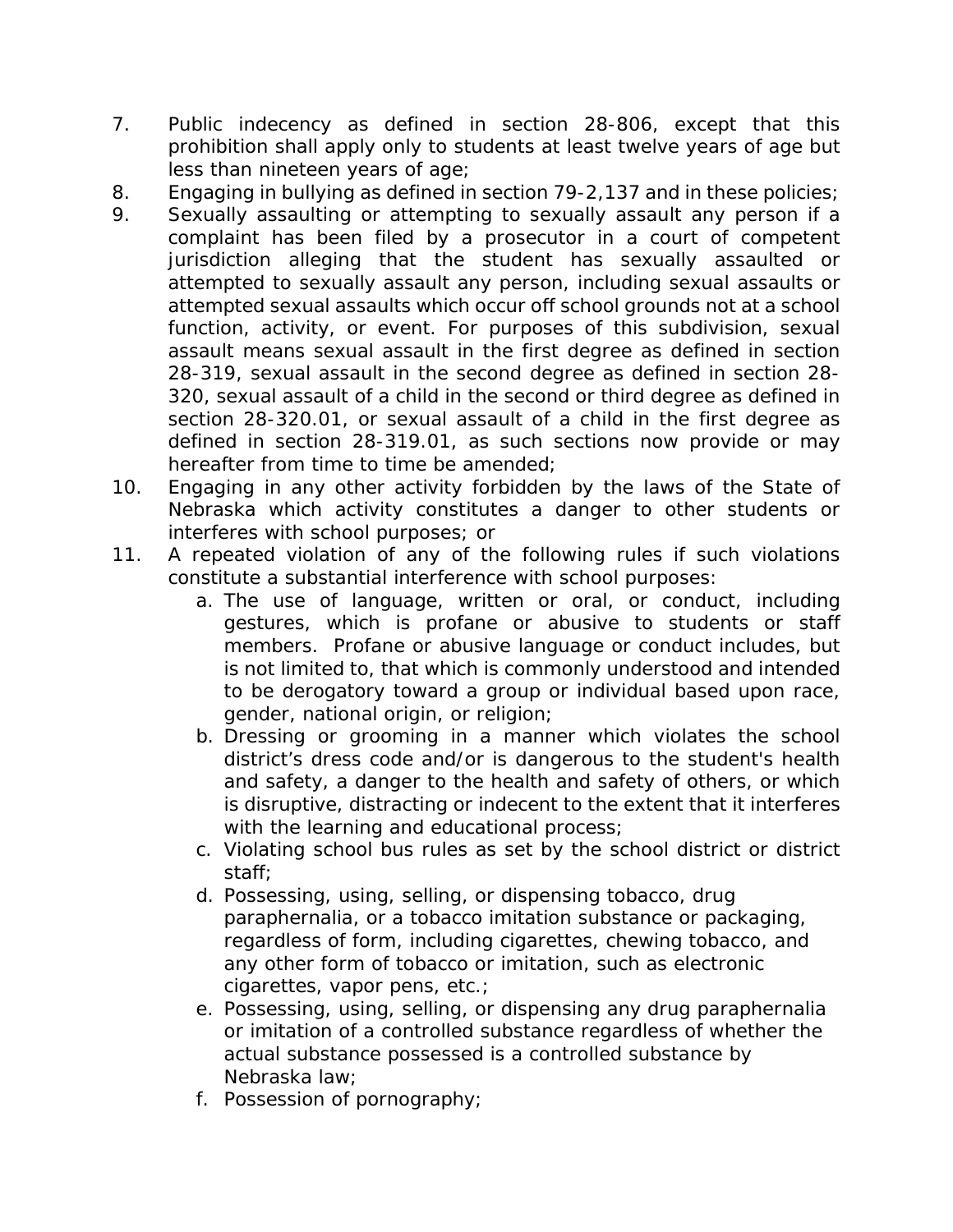- 7. Public indecency as defined in section 28-806, except that this prohibition shall apply only to students at least twelve years of age but less than nineteen years of age;
- 8. Engaging in bullying as defined in section 79-2,137 and in these policies;
- 9. Sexually assaulting or attempting to sexually assault any person if a complaint has been filed by a prosecutor in a court of competent jurisdiction alleging that the student has sexually assaulted or attempted to sexually assault any person, including sexual assaults or attempted sexual assaults which occur off school grounds not at a school function, activity, or event. For purposes of this subdivision, sexual assault means sexual assault in the first degree as defined in section 28-319, sexual assault in the second degree as defined in section 28- 320, sexual assault of a child in the second or third degree as defined in section 28-320.01, or sexual assault of a child in the first degree as defined in section 28-319.01, as such sections now provide or may hereafter from time to time be amended;
- 10. Engaging in any other activity forbidden by the laws of the State of Nebraska which activity constitutes a danger to other students or interferes with school purposes; or
- 11. A repeated violation of any of the following rules if such violations constitute a substantial interference with school purposes:
	- a. The use of language, written or oral, or conduct, including gestures, which is profane or abusive to students or staff members. Profane or abusive language or conduct includes, but is not limited to, that which is commonly understood and intended to be derogatory toward a group or individual based upon race, gender, national origin, or religion;
	- b. Dressing or grooming in a manner which violates the school district's dress code and/or is dangerous to the student's health and safety, a danger to the health and safety of others, or which is disruptive, distracting or indecent to the extent that it interferes with the learning and educational process;
	- c. Violating school bus rules as set by the school district or district staff;
	- d. Possessing, using, selling, or dispensing tobacco, drug paraphernalia, or a tobacco imitation substance or packaging, regardless of form, including cigarettes, chewing tobacco, and any other form of tobacco or imitation, such as electronic cigarettes, vapor pens, etc.;
	- e. Possessing, using, selling, or dispensing any drug paraphernalia or imitation of a controlled substance regardless of whether the actual substance possessed is a controlled substance by Nebraska law;
	- f. Possession of pornography;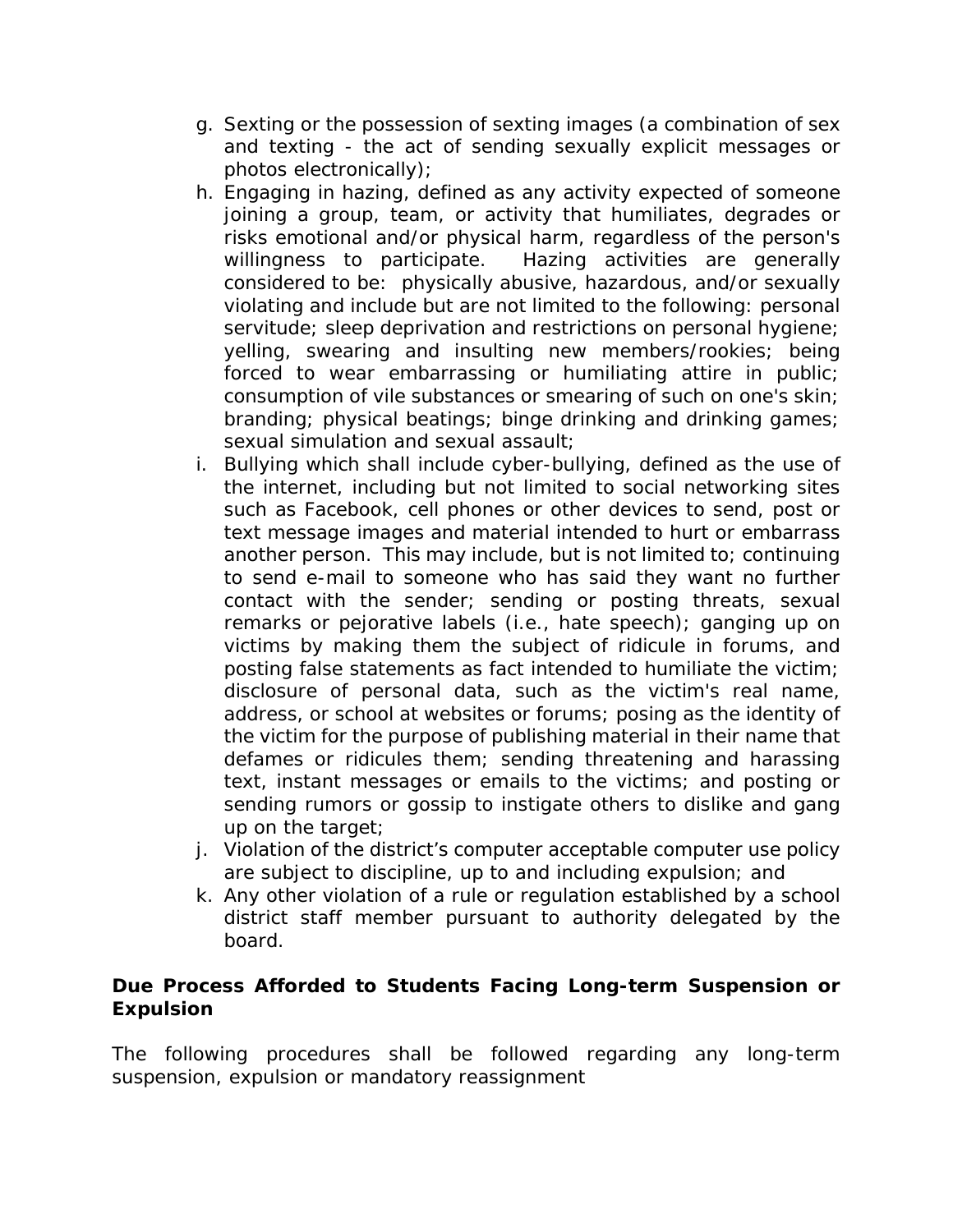- g. Sexting or the possession of sexting images (a combination of sex and texting - the act of sending sexually explicit messages or photos electronically);
- h. Engaging in hazing, defined as any activity expected of someone joining a group, team, or activity that humiliates, degrades or risks emotional and/or physical harm, regardless of the person's willingness to participate. Hazing activities are generally considered to be: physically abusive, hazardous, and/or sexually violating and include but are not limited to the following: personal servitude; sleep deprivation and restrictions on personal hygiene; yelling, swearing and insulting new members/rookies; being forced to wear embarrassing or humiliating attire in public; consumption of vile substances or smearing of such on one's skin; branding; physical beatings; binge drinking and drinking games; sexual simulation and sexual assault;
- i. Bullying which shall include cyber-bullying, defined as the use of the internet, including but not limited to social networking sites such as Facebook, cell phones or other devices to send, post or text message images and material intended to hurt or embarrass another person. This may include, but is not limited to; continuing to send e-mail to someone who has said they want no further contact with the sender; sending or posting threats, sexual remarks or pejorative labels (i.e., hate speech); ganging up on victims by making them the subject of ridicule in forums, and posting false statements as fact intended to humiliate the victim; disclosure of personal data, such as the victim's real name, address, or school at websites or forums; posing as the identity of the victim for the purpose of publishing material in their name that defames or ridicules them; sending threatening and harassing text, instant messages or emails to the victims; and posting or sending rumors or gossip to instigate others to dislike and gang up on the target;
- j. Violation of the district's computer acceptable computer use policy are subject to discipline, up to and including expulsion; and
- k. Any other violation of a rule or regulation established by a school district staff member pursuant to authority delegated by the board.

## **Due Process Afforded to Students Facing Long-term Suspension or Expulsion**

The following procedures shall be followed regarding any long-term suspension, expulsion or mandatory reassignment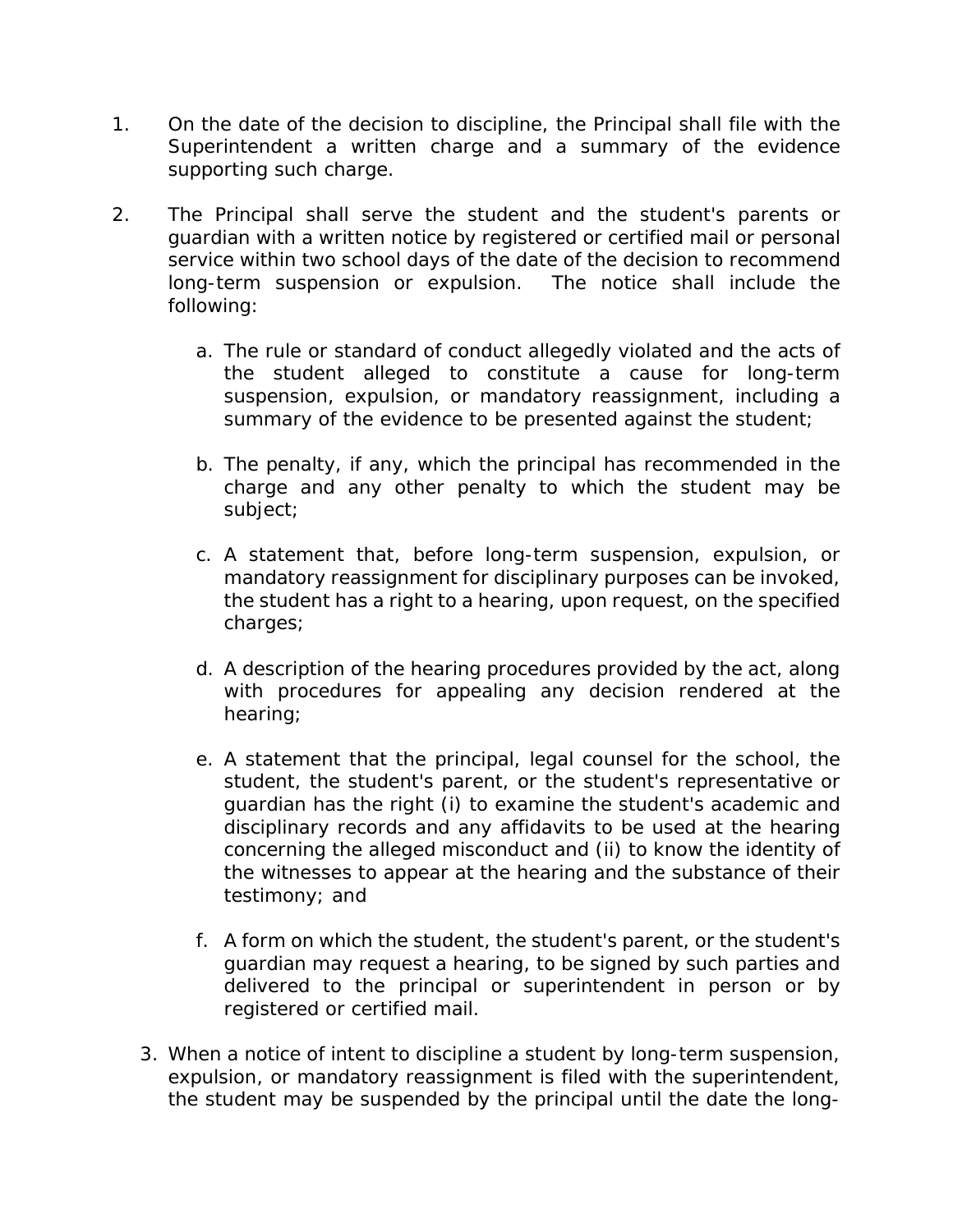- 1. On the date of the decision to discipline, the Principal shall file with the Superintendent a written charge and a summary of the evidence supporting such charge.
- 2. The Principal shall serve the student and the student's parents or guardian with a written notice by registered or certified mail or personal service within two school days of the date of the decision to recommend long-term suspension or expulsion. The notice shall include the following:
	- a. The rule or standard of conduct allegedly violated and the acts of the student alleged to constitute a cause for long-term suspension, expulsion, or mandatory reassignment, including a summary of the evidence to be presented against the student;
	- b. The penalty, if any, which the principal has recommended in the charge and any other penalty to which the student may be subject;
	- c. A statement that, before long-term suspension, expulsion, or mandatory reassignment for disciplinary purposes can be invoked, the student has a right to a hearing, upon request, on the specified charges;
	- d. A description of the hearing procedures provided by the act, along with procedures for appealing any decision rendered at the hearing;
	- e. A statement that the principal, legal counsel for the school, the student, the student's parent, or the student's representative or guardian has the right (i) to examine the student's academic and disciplinary records and any affidavits to be used at the hearing concerning the alleged misconduct and (ii) to know the identity of the witnesses to appear at the hearing and the substance of their testimony; and
	- f. A form on which the student, the student's parent, or the student's guardian may request a hearing, to be signed by such parties and delivered to the principal or superintendent in person or by registered or certified mail.
	- 3. When a notice of intent to discipline a student by long-term suspension, expulsion, or mandatory reassignment is filed with the superintendent, the student may be suspended by the principal until the date the long-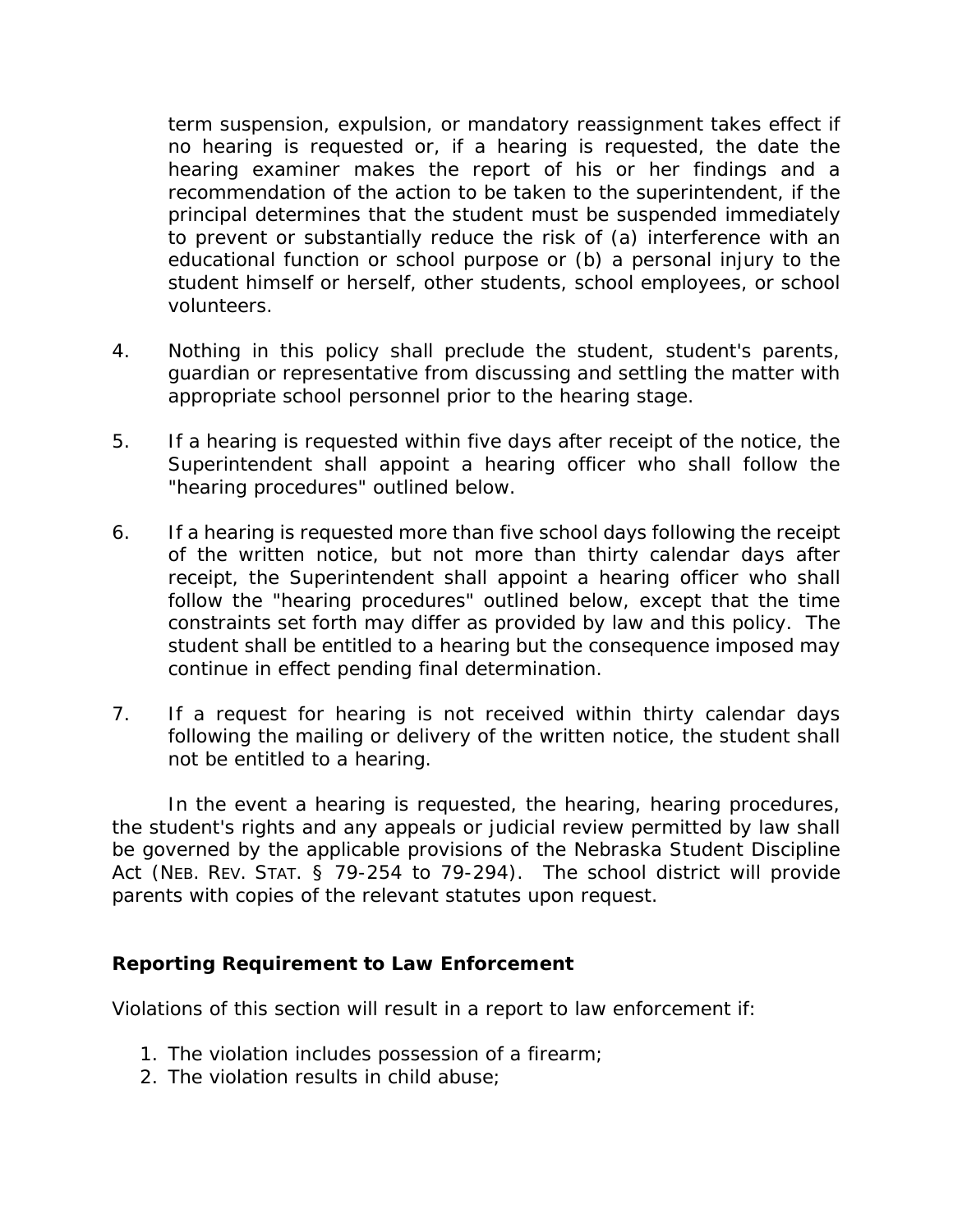term suspension, expulsion, or mandatory reassignment takes effect if no hearing is requested or, if a hearing is requested, the date the hearing examiner makes the report of his or her findings and a recommendation of the action to be taken to the superintendent, if the principal determines that the student must be suspended immediately to prevent or substantially reduce the risk of (a) interference with an educational function or school purpose or (b) a personal injury to the student himself or herself, other students, school employees, or school volunteers.

- 4. Nothing in this policy shall preclude the student, student's parents, guardian or representative from discussing and settling the matter with appropriate school personnel prior to the hearing stage.
- 5. If a hearing is requested within five days after receipt of the notice, the Superintendent shall appoint a hearing officer who shall follow the "hearing procedures" outlined below.
- 6. If a hearing is requested more than five school days following the receipt of the written notice, but not more than thirty calendar days after receipt, the Superintendent shall appoint a hearing officer who shall follow the "hearing procedures" outlined below, except that the time constraints set forth may differ as provided by law and this policy. The student shall be entitled to a hearing but the consequence imposed may continue in effect pending final determination.
- 7. If a request for hearing is not received within thirty calendar days following the mailing or delivery of the written notice, the student shall not be entitled to a hearing.

In the event a hearing is requested, the hearing, hearing procedures, the student's rights and any appeals or judicial review permitted by law shall be governed by the applicable provisions of the Nebraska Student Discipline Act (NEB. REV. STAT. § 79-254 to 79-294). The school district will provide parents with copies of the relevant statutes upon request.

## **Reporting Requirement to Law Enforcement**

Violations of this section will result in a report to law enforcement if:

- 1. The violation includes possession of a firearm;
- 2. The violation results in child abuse;